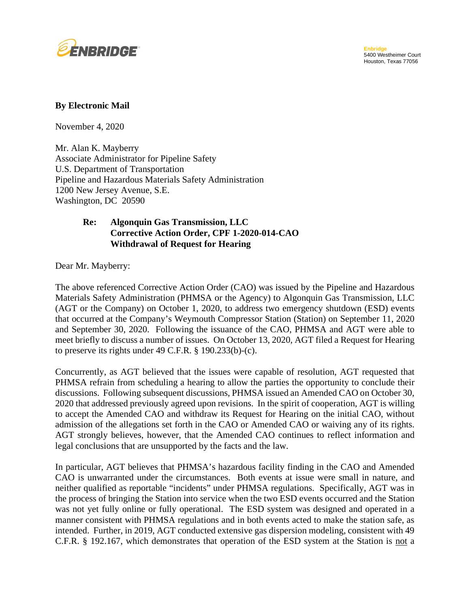

## **By Electronic Mail**

November 4, 2020

Mr. Alan K. Mayberry Associate Administrator for Pipeline Safety U.S. Department of Transportation Pipeline and Hazardous Materials Safety Administration 1200 New Jersey Avenue, S.E. Washington, DC 20590

## **Re: Algonquin Gas Transmission, LLC Corrective Action Order, CPF 1-2020-014-CAO Withdrawal of Request for Hearing**

Dear Mr. Mayberry:

The above referenced Corrective Action Order (CAO) was issued by the Pipeline and Hazardous Materials Safety Administration (PHMSA or the Agency) to Algonquin Gas Transmission, LLC (AGT or the Company) on October 1, 2020, to address two emergency shutdown (ESD) events that occurred at the Company's Weymouth Compressor Station (Station) on September 11, 2020 and September 30, 2020. Following the issuance of the CAO, PHMSA and AGT were able to meet briefly to discuss a number of issues. On October 13, 2020, AGT filed a Request for Hearing to preserve its rights under 49 C.F.R. § 190.233(b)-(c).

Concurrently, as AGT believed that the issues were capable of resolution, AGT requested that PHMSA refrain from scheduling a hearing to allow the parties the opportunity to conclude their discussions. Following subsequent discussions, PHMSA issued an Amended CAO on October 30, 2020 that addressed previously agreed upon revisions. In the spirit of cooperation, AGT is willing to accept the Amended CAO and withdraw its Request for Hearing on the initial CAO, without admission of the allegations set forth in the CAO or Amended CAO or waiving any of its rights. AGT strongly believes, however, that the Amended CAO continues to reflect information and legal conclusions that are unsupported by the facts and the law.

In particular, AGT believes that PHMSA's hazardous facility finding in the CAO and Amended CAO is unwarranted under the circumstances. Both events at issue were small in nature, and neither qualified as reportable "incidents" under PHMSA regulations. Specifically, AGT was in the process of bringing the Station into service when the two ESD events occurred and the Station was not yet fully online or fully operational. The ESD system was designed and operated in a manner consistent with PHMSA regulations and in both events acted to make the station safe, as intended. Further, in 2019, AGT conducted extensive gas dispersion modeling, consistent with 49 C.F.R. § 192.167, which demonstrates that operation of the ESD system at the Station is not a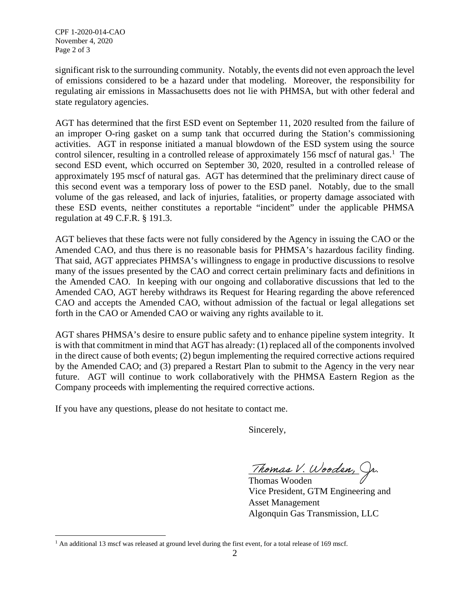significant risk to the surrounding community. Notably, the events did not even approach the level of emissions considered to be a hazard under that modeling. Moreover, the responsibility for regulating air emissions in Massachusetts does not lie with PHMSA, but with other federal and state regulatory agencies.

AGT has determined that the first ESD event on September 11, 2020 resulted from the failure of an improper O-ring gasket on a sump tank that occurred during the Station's commissioning activities. AGT in response initiated a manual blowdown of the ESD system using the source control silencer, resulting in a controlled release of approximately 156 mscf of natural gas.<sup>1</sup> The second ESD event, which occurred on September 30, 2020, resulted in a controlled release of approximately 195 mscf of natural gas. AGT has determined that the preliminary direct cause of this second event was a temporary loss of power to the ESD panel. Notably, due to the small volume of the gas released, and lack of injuries, fatalities, or property damage associated with these ESD events, neither constitutes a reportable "incident" under the applicable PHMSA regulation at 49 C.F.R. § 191.3.

AGT believes that these facts were not fully considered by the Agency in issuing the CAO or the Amended CAO, and thus there is no reasonable basis for PHMSA's hazardous facility finding. That said, AGT appreciates PHMSA's willingness to engage in productive discussions to resolve many of the issues presented by the CAO and correct certain preliminary facts and definitions in the Amended CAO. In keeping with our ongoing and collaborative discussions that led to the Amended CAO, AGT hereby withdraws its Request for Hearing regarding the above referenced CAO and accepts the Amended CAO, without admission of the factual or legal allegations set forth in the CAO or Amended CAO or waiving any rights available to it.

AGT shares PHMSA's desire to ensure public safety and to enhance pipeline system integrity. It is with that commitment in mind that AGT has already: (1) replaced all of the components involved in the direct cause of both events; (2) begun implementing the required corrective actions required by the Amended CAO; and (3) prepared a Restart Plan to submit to the Agency in the very near future. AGT will continue to work collaboratively with the PHMSA Eastern Region as the Company proceeds with implementing the required corrective actions.

If you have any questions, please do not hesitate to contact me.

Sincerely,

Thomas V. Wooden, Jr.

Thomas Wooden Vice President, GTM Engineering and Asset Management Algonquin Gas Transmission, LLC

<sup>&</sup>lt;sup>1</sup> An additional 13 mscf was released at ground level during the first event, for a total release of 169 mscf.